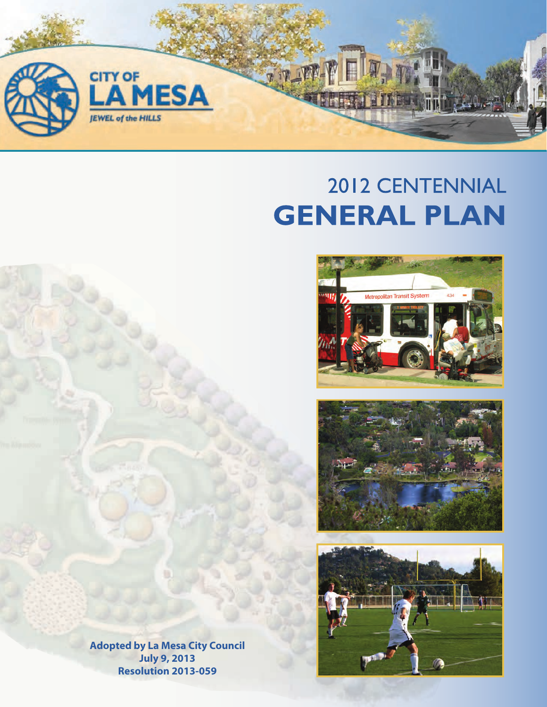

## 2012 CENTENNIAL **GENERAL PLAN**







**Adopted by La Mesa City Council July 9, 2013 Resolution 2013-059**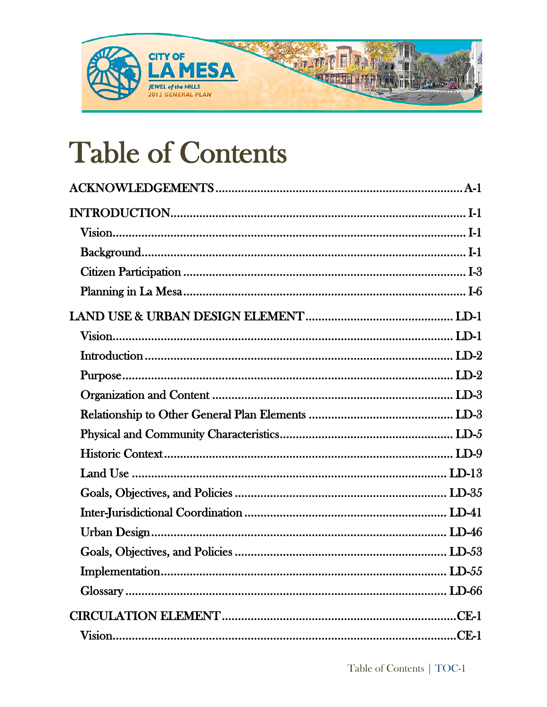

## **Table of Contents**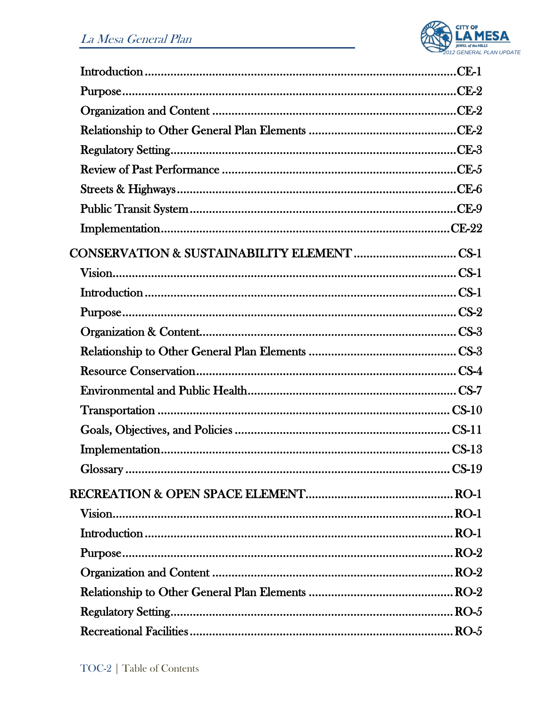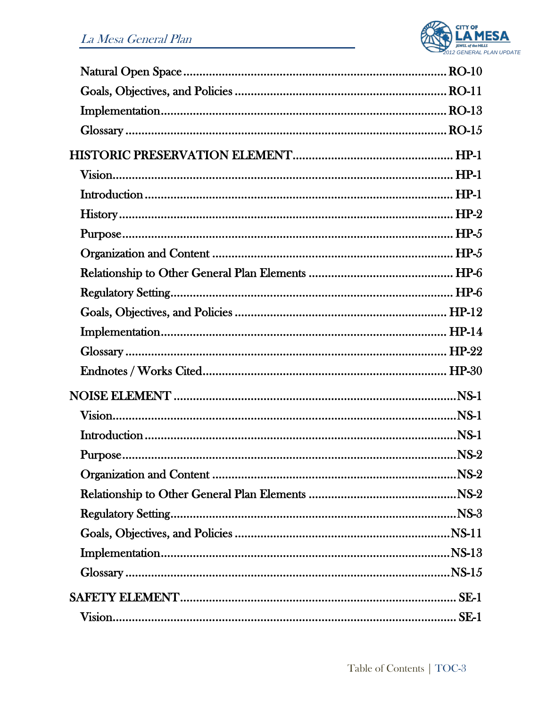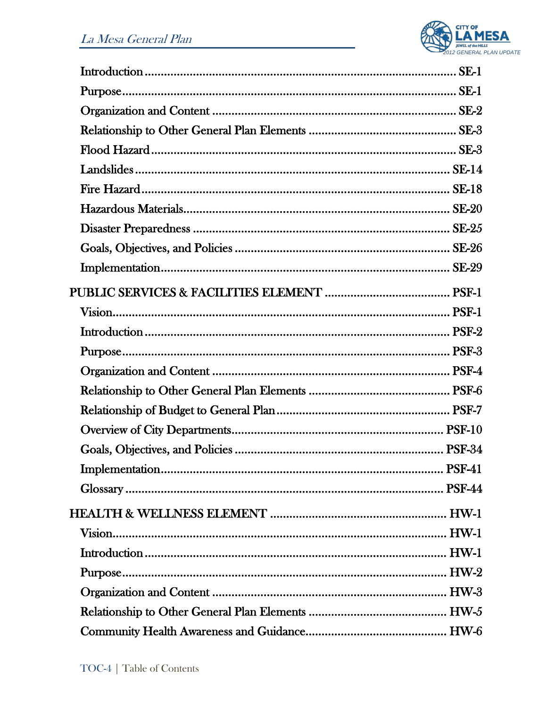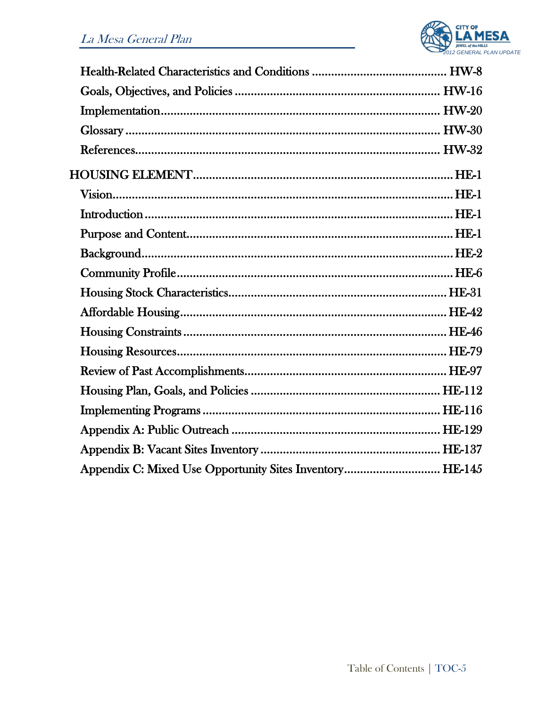

| Appendix C: Mixed Use Opportunity Sites Inventory HE-145 |  |
|----------------------------------------------------------|--|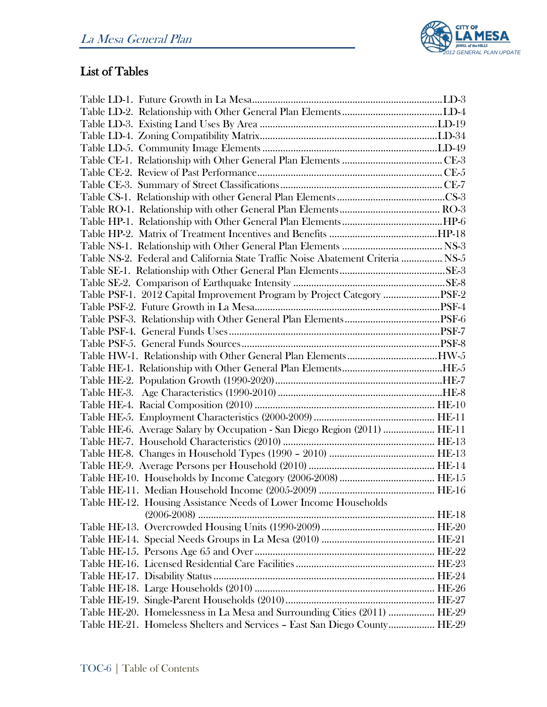

## List of Tables

| Table NS-2. Federal and California State Traffic Noise Abatement Criteria  NS-5 |  |
|---------------------------------------------------------------------------------|--|
|                                                                                 |  |
|                                                                                 |  |
| Table PSF-1. 2012 Capital Improvement Program by Project Category PSF-2         |  |
|                                                                                 |  |
|                                                                                 |  |
|                                                                                 |  |
|                                                                                 |  |
|                                                                                 |  |
|                                                                                 |  |
|                                                                                 |  |
|                                                                                 |  |
|                                                                                 |  |
|                                                                                 |  |
| Table HE-6. Average Salary by Occupation - San Diego Region (2011)  HE-11       |  |
|                                                                                 |  |
|                                                                                 |  |
|                                                                                 |  |
|                                                                                 |  |
|                                                                                 |  |
| Table HE-12. Housing Assistance Needs of Lower Income Households                |  |
|                                                                                 |  |
|                                                                                 |  |
|                                                                                 |  |
|                                                                                 |  |
|                                                                                 |  |
|                                                                                 |  |
|                                                                                 |  |
|                                                                                 |  |
| Table HE-20. Homelessness in La Mesa and Surrounding Cities (2011)  HE-29       |  |
| Table HE-21. Homeless Shelters and Services - East San Diego County HE-29       |  |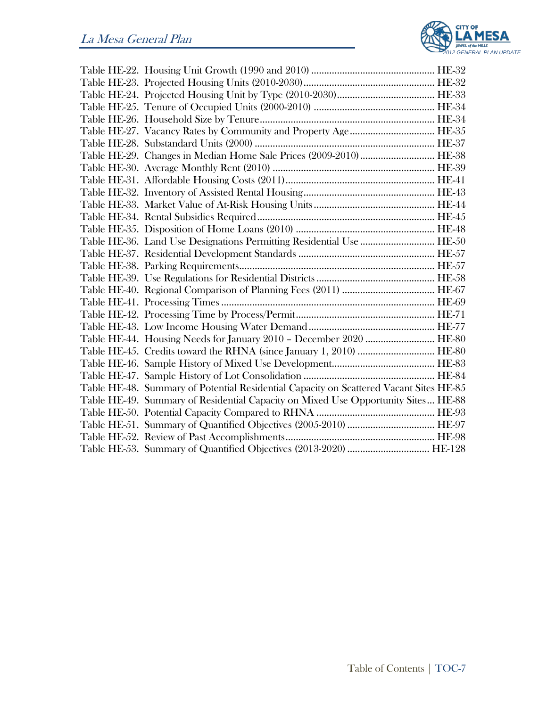

| Table HE-29. Changes in Median Home Sale Prices (2009-2010) HE-38                      |  |
|----------------------------------------------------------------------------------------|--|
|                                                                                        |  |
|                                                                                        |  |
|                                                                                        |  |
|                                                                                        |  |
|                                                                                        |  |
|                                                                                        |  |
| Table HE-36. Land Use Designations Permitting Residential Use  HE-50                   |  |
|                                                                                        |  |
|                                                                                        |  |
|                                                                                        |  |
|                                                                                        |  |
|                                                                                        |  |
|                                                                                        |  |
|                                                                                        |  |
| Table HE-44. Housing Needs for January 2010 - December 2020  HE-80                     |  |
|                                                                                        |  |
|                                                                                        |  |
|                                                                                        |  |
| Table HE-48. Summary of Potential Residential Capacity on Scattered Vacant Sites HE-85 |  |
| Table HE-49. Summary of Residential Capacity on Mixed Use Opportunity Sites HE-88      |  |
|                                                                                        |  |
|                                                                                        |  |
|                                                                                        |  |
|                                                                                        |  |